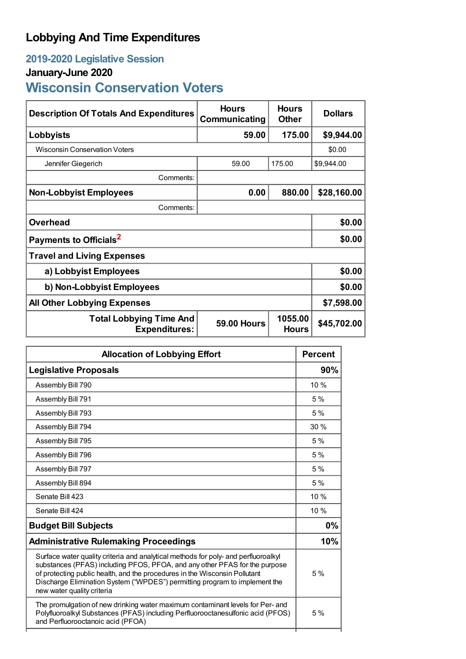## **Lobbying And Time Expenditures**

## **2019-2020 Legislative Session**

## **January-June 2020**

# **Wisconsin Conservation Voters**

| <b>Description Of Totals And Expenditures</b>          | <b>Hours</b><br>Communicating | <b>Hours</b><br><b>Other</b> | <b>Dollars</b> |
|--------------------------------------------------------|-------------------------------|------------------------------|----------------|
| Lobbyists                                              | 59.00                         | 175.00                       | \$9,944.00     |
| <b>Wisconsin Conservation Voters</b>                   |                               |                              | \$0.00         |
| Jennifer Giegerich                                     | 59.00                         | 175.00                       | \$9,944.00     |
| Comments:                                              |                               |                              |                |
| <b>Non-Lobbyist Employees</b>                          | 0.00                          | 880.00                       | \$28,160.00    |
| Comments:                                              |                               |                              |                |
| <b>Overhead</b>                                        |                               |                              | \$0.00         |
| Payments to Officials <sup>2</sup>                     |                               |                              | \$0.00         |
| <b>Travel and Living Expenses</b>                      |                               |                              |                |
| a) Lobbyist Employees                                  |                               |                              | \$0.00         |
| b) Non-Lobbyist Employees                              |                               |                              | \$0.00         |
| <b>All Other Lobbying Expenses</b>                     |                               |                              | \$7,598.00     |
| <b>Total Lobbying Time And</b><br><b>Expenditures:</b> | <b>59.00 Hours</b>            | 1055.00<br><b>Hours</b>      | \$45,702.00    |

| <b>Allocation of Lobbying Effort</b>                                                                                                                                                                                                                                                                                                                       |      |
|------------------------------------------------------------------------------------------------------------------------------------------------------------------------------------------------------------------------------------------------------------------------------------------------------------------------------------------------------------|------|
| <b>Legislative Proposals</b>                                                                                                                                                                                                                                                                                                                               | 90%  |
| Assembly Bill 790                                                                                                                                                                                                                                                                                                                                          | 10 % |
| Assembly Bill 791                                                                                                                                                                                                                                                                                                                                          | 5%   |
| Assembly Bill 793                                                                                                                                                                                                                                                                                                                                          | 5%   |
| Assembly Bill 794                                                                                                                                                                                                                                                                                                                                          | 30%  |
| Assembly Bill 795                                                                                                                                                                                                                                                                                                                                          | 5%   |
| Assembly Bill 796                                                                                                                                                                                                                                                                                                                                          | 5%   |
| Assembly Bill 797                                                                                                                                                                                                                                                                                                                                          | 5%   |
| Assembly Bill 894                                                                                                                                                                                                                                                                                                                                          | 5 %  |
| Senate Bill 423                                                                                                                                                                                                                                                                                                                                            | 10 % |
| Senate Bill 424                                                                                                                                                                                                                                                                                                                                            | 10 % |
| <b>Budget Bill Subjects</b>                                                                                                                                                                                                                                                                                                                                | 0%   |
| <b>Administrative Rulemaking Proceedings</b>                                                                                                                                                                                                                                                                                                               | 10%  |
| Surface water quality criteria and analytical methods for poly- and perfluoroalkyl<br>substances (PFAS) including PFOS, PFOA, and any other PFAS for the purpose<br>of protecting public health, and the procedures in the Wisconsin Pollutant<br>Discharge Elimination System ("WPDES") permitting program to implement the<br>new water quality criteria |      |
| The promulgation of new drinking water maximum contaminant levels for Per- and<br>Polyfluoroalkyl Substances (PFAS) including Perfluorooctanesulfonic acid (PFOS)<br>and Perfluorooctanoic acid (PFOA)                                                                                                                                                     |      |